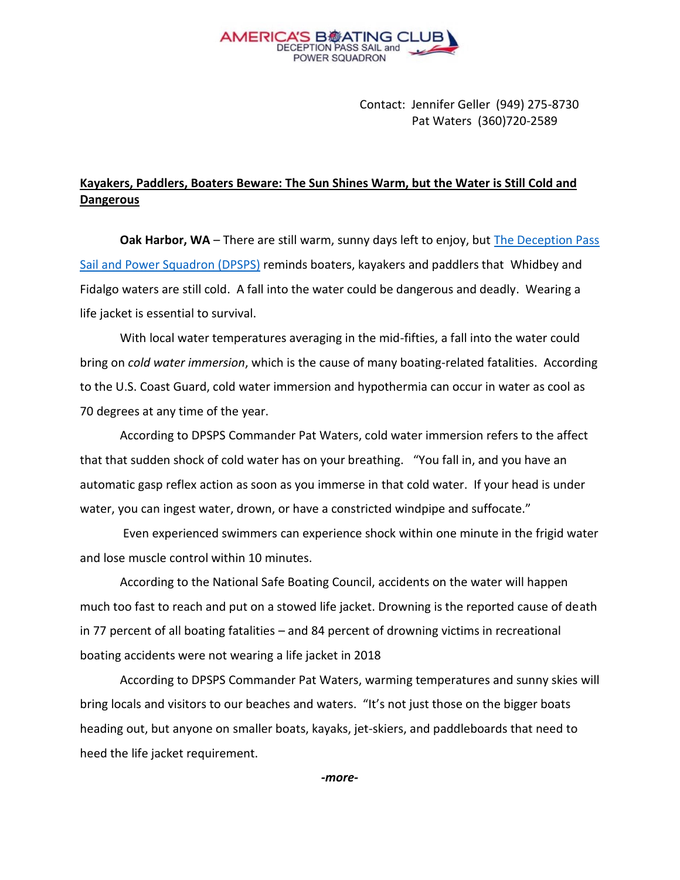

Contact: Jennifer Geller (949) 275-8730 Pat Waters (360)720-2589

## **Kayakers, Paddlers, Boaters Beware: The Sun Shines Warm, but the Water is Still Cold and Dangerous**

**Oak Harbor, WA** – There are still warm, sunny days left to enjoy, but [The Deception Pass](https://www.deceptionpasssailandpowersquadron.com/)  [Sail and Power Squadron \(DPSPS\)](https://www.deceptionpasssailandpowersquadron.com/) reminds boaters, kayakers and paddlers that Whidbey and Fidalgo waters are still cold. A fall into the water could be dangerous and deadly. Wearing a life jacket is essential to survival.

With local water temperatures averaging in the mid-fifties, a fall into the water could bring on *cold water immersion*, which is the cause of many boating-related fatalities. According to the U.S. Coast Guard, cold water immersion and hypothermia can occur in water as cool as 70 degrees at any time of the year.

According to DPSPS Commander Pat Waters, cold water immersion refers to the affect that that sudden shock of cold water has on your breathing. "You fall in, and you have an automatic gasp reflex action as soon as you immerse in that cold water. If your head is under water, you can ingest water, drown, or have a constricted windpipe and suffocate."

Even experienced swimmers can experience shock within one minute in the frigid water and lose muscle control within 10 minutes.

According to the National Safe Boating Council, accidents on the water will happen much too fast to reach and put on a stowed life jacket. Drowning is the reported cause of death in 77 percent of all boating fatalities – and 84 percent of drowning victims in recreational boating accidents were not wearing a life jacket in 2018

According to DPSPS Commander Pat Waters, warming temperatures and sunny skies will bring locals and visitors to our beaches and waters. "It's not just those on the bigger boats heading out, but anyone on smaller boats, kayaks, jet-skiers, and paddleboards that need to heed the life jacket requirement.

*-more-*